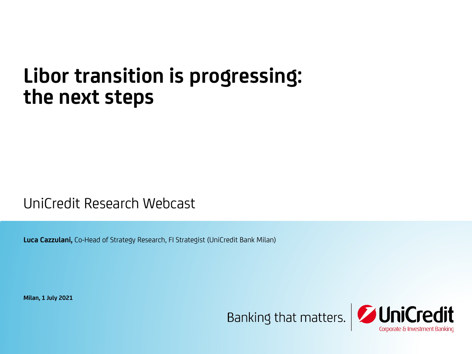# **Libor transition is progressing: the next steps**

UniCredit Research Webcast

**Luca Cazzulani,** Co-Head of Strategy Research, FI Strategist (UniCredit Bank Milan)

**Milan, 1 July 2021**

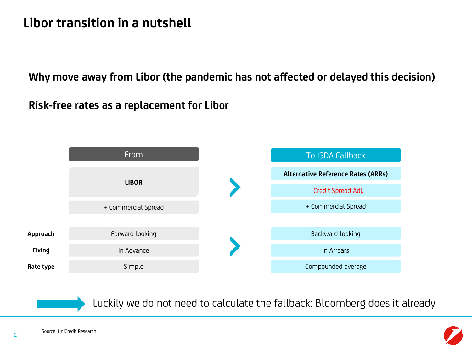**Why move away from Libor (the pandemic has not affected or delayed this decision)**

**Risk-free rates as a replacement for Libor**





Luckily we do not need to calculate the fallback: Bloomberg does it already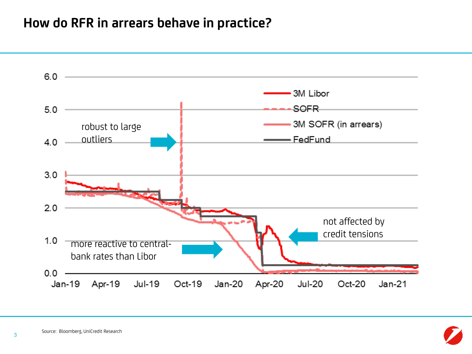### **How do RFR in arrears behave in practice?**



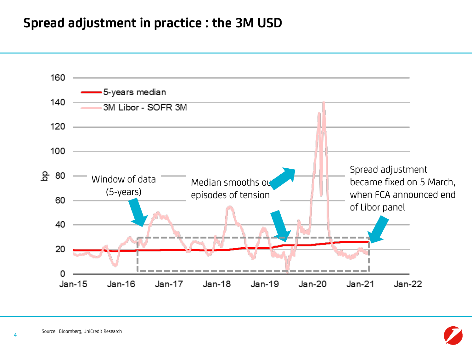### **Spread adjustment in practice : the 3M USD**



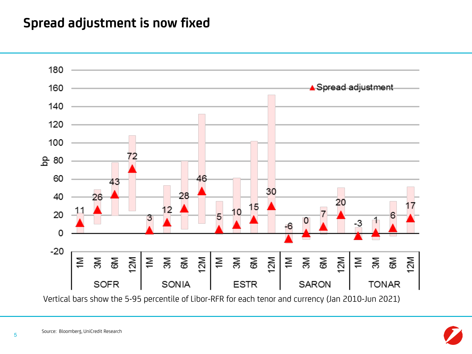### **Spread adjustment is now fixed**



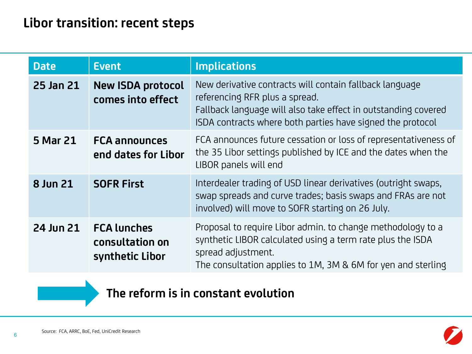| <b>Date</b> | <b>Event</b>                                             | <b>Implications</b>                                                                                                                                                                                                       |
|-------------|----------------------------------------------------------|---------------------------------------------------------------------------------------------------------------------------------------------------------------------------------------------------------------------------|
| 25 Jan 21   | <b>New ISDA protocol</b><br>comes into effect            | New derivative contracts will contain fallback language<br>referencing RFR plus a spread.<br>Fallback language will also take effect in outstanding covered<br>ISDA contracts where both parties have signed the protocol |
| 5 Mar 21    | <b>FCA announces</b><br>end dates for Libor              | FCA announces future cessation or loss of representativeness of<br>the 35 Libor settings published by ICE and the dates when the<br>LIBOR panels will end                                                                 |
| 8 Jun 21    | <b>SOFR First</b>                                        | Interdealer trading of USD linear derivatives (outright swaps,<br>swap spreads and curve trades; basis swaps and FRAs are not<br>involved) will move to SOFR starting on 26 July.                                         |
| 24 Jun 21   | <b>FCA lunches</b><br>consultation on<br>synthetic Libor | Proposal to require Libor admin. to change methodology to a<br>synthetic LIBOR calculated using a term rate plus the ISDA<br>spread adjustment.<br>The consultation applies to 1M, 3M & 6M for yen and sterling           |

### **The reform is in constant evolution**

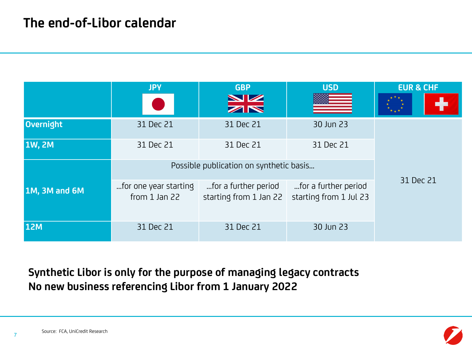|                      | <b>JPY</b>                                 | <b>GBP</b><br>NZ<br>ZN                         | <b>USD</b>                                     | <b>EUR &amp; CHF</b> |
|----------------------|--------------------------------------------|------------------------------------------------|------------------------------------------------|----------------------|
| Overnight            | 31 Dec 21                                  | 31 Dec 21                                      | 30 Jun 23                                      |                      |
| <b>1W, 2M</b>        | 31 Dec 21                                  | 31 Dec 21                                      | 31 Dec 21                                      |                      |
|                      | Possible publication on synthetic basis    |                                                |                                                |                      |
| <b>1M, 3M and 6M</b> | for one year starting<br>from $1$ Jan $22$ | for a further period<br>starting from 1 Jan 22 | for a further period<br>starting from 1 Jul 23 | 31 Dec 21            |
| <b>12M</b>           | 31 Dec 21                                  | 31 Dec 21                                      | 30 Jun 23                                      |                      |

**Synthetic Libor is only for the purpose of managing legacy contracts No new business referencing Libor from 1 January 2022**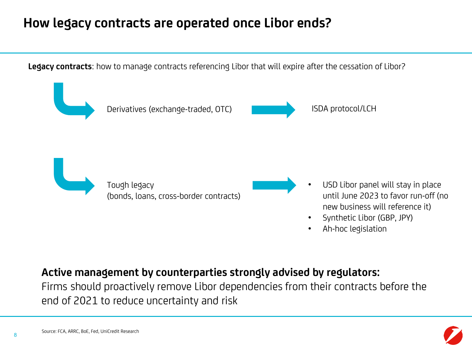### **How legacy contracts are operated once Libor ends?**

**Legacy contracts**: how to manage contracts referencing Libor that will expire after the cessation of Libor?



### **Active management by counterparties strongly advised by regulators:**

Firms should proactively remove Libor dependencies from their contracts before the end of 2021 to reduce uncertainty and risk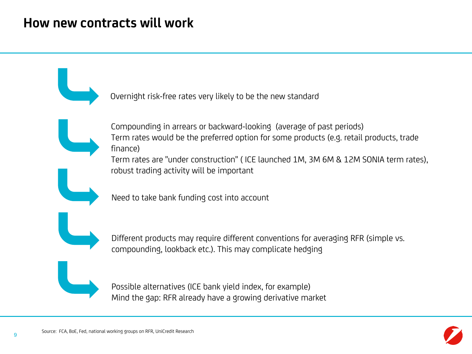### **How new contracts will work**

Overnight risk-free rates very likely to be the new standard

Compounding in arrears or backward-looking (average of past periods) Term rates would be the preferred option for some products (e.g. retail products, trade finance)

Term rates are "under construction" ( ICE launched 1M, 3M 6M & 12M SONIA term rates), robust trading activity will be important

Need to take bank funding cost into account

Different products may require different conventions for averaging RFR (simple vs. compounding, lookback etc.). This may complicate hedging

Possible alternatives (ICE bank yield index, for example) Mind the gap: RFR already have a growing derivative market

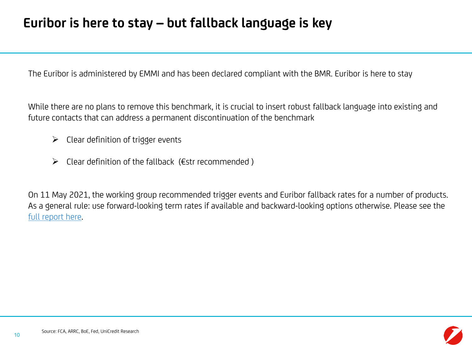## **Euribor is here to stay – but fallback language is key**

The Euribor is administered by EMMI and has been declared compliant with the BMR. Euribor is here to stay

While there are no plans to remove this benchmark, it is crucial to insert robust fallback language into existing and future contacts that can address a permanent discontinuation of the benchmark

- $\triangleright$  Clear definition of trigger events
- $\triangleright$  Clear definition of the fallback (Estr recommended)

On 11 May 2021, the working group recommended trigger events and Euribor fallback rates for a number of products. As a general rule: use forward-looking term rates if available and backward-looking options otherwise. Please see the [full report here](https://www.ecb.europa.eu/pub/pdf/other/ecb.recommendationsEURIBORfallbacktriggereventsandESTR.202105~9e859b5aa7.en.pdf).

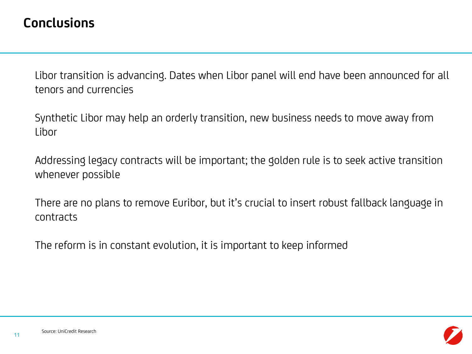### **Conclusions**

Libor transition is advancing. Dates when Libor panel will end have been announced for all tenors and currencies

Synthetic Libor may help an orderly transition, new business needs to move away from **Libor** 

Addressing legacy contracts will be important; the golden rule is to seek active transition whenever possible

There are no plans to remove Euribor, but it's crucial to insert robust fallback language in contracts

The reform is in constant evolution, it is important to keep informed

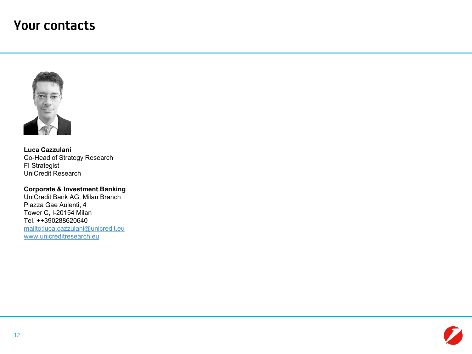### **Your contacts**



**Luca Cazzulani** Co-Head of Strategy Research FI Strategist UniCredit Research

### **Corporate & Investment Banking**

UniCredit Bank AG, Milan Branch Piazza Gae Aulenti, 4 Tower C, I-20154 Milan Tel. ++390288620640 <mailto:luca.cazzulani@unicredit.eu> [www.unicreditresearch.eu](https://www.unicreditresearch.eu/)

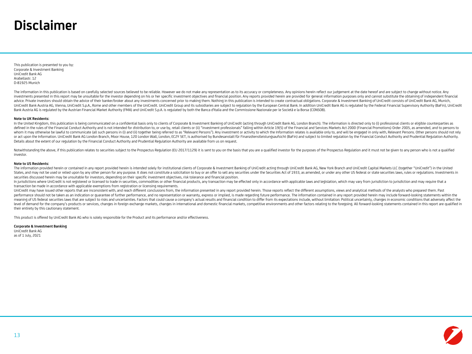### **Disclaimer**

This publication is presented to you by: Corporate & Investment Banking UniCredit Bank AG Arabellastr. 12 D-81925 Munich

The information in this publication is based on carefully selected sources believed to be reliable. However we do not make any representation as to its accuracy or completeness. Any opinions herein reflect our judgement at investments presented in this report may be unsuitable for the investor depending on his or her specific investment objectives and financial position. Any reports provided herein are provided for general information purpos advice. Private investors should obtain the advice of their banker/broker about any investments concerned prior to making them. Nothing in this publication is intended to create contractual obligations. Corporate & Investm UniCredit Bank Austria AG, Vienna, UniCredit S.p.A., Rome and other members of the UniCredit, UniCredit, UniCredit Group and its subsidiaries are subject to regulation by the European Central Bank. In addition UniCredit Ba Bank Austria AG is regulated by the Austrian Financial Market Authority (FMA) and UniCredit S.p.A. is regulated by both the Banca d'Italia and the Commissione Nazionale per le Società e la Borsa (CONSOB).

#### **Note to UK Residents:**

In the United Kinddom, this publication is being communicated on a confidential basis only to clients of Comorate & Investment Banking of UniCredit (acting through UniCredit Bank AG, London Branch). The information is dire defined in the rules of the Financial Conduct Authority and is not intended for distribution to, or use by, retail clients or (ii) "investment professionals" falling within Article 19(5) of the Financial and Services Marke whom it may otherwise be lawful to communicate (all such persons in (i) and (ii) together being referred to as "Relevant Persons"). Any investment or activity to which the Information relates is available only to, and will or act upon the Information. UniCredit Bank AG London Branch, Moor House, 120 London Wall, London, EC2Y 5ET, is authorised by Bundesanstalt für Finanzdienstleistungsaufsicht (BaFin) and subject to limited regulation by the Details about the extent of our regulation by the Financial Conduct Authority and Prudential Regulation Authority are available from us on request.

Notwithstanding the above, if this publication relates to securities subject to the Prospectus Regulation (EU 2017/1129) it is sent to you on the basis that you are a qualified investor for the purposes of the Prospectus R investor.

#### **Note to US Residents:**

The information provided herein or contained in any report provided herein is intended solely for institutional clients of Corporate & Investment Banking of UniCredit acting through UniCredit Bank AG, New York Branch and U States, and may not be used or relied upon by any other person for any purpose. It does not constitute a solicitation to buy or an offer to sell any securities under the Securities Act of 1933, as amended, or under any oth securities discussed herein may be unsuitable for investors, depending on their specific investment objectives, risk tolerance and financial position.

In jurisdictions where UniCredit is not registered or licensed to trade in securities, commodities or other financial products, any transaction may be effected only in accordance with applicable laws and legislation, which transaction be made in accordance with applicable exemptions from registration or licensing requirements.

UniCredit may have issued other reports that are inconsistent with, and reach different conclusions from, the information presented in any report provided herein. Those reports reflect the different assumptions, views and performance should not be taken as an indication or quarantee of further performance, and no representation or warranty, express or implied, is made regarding future performance. The information contained in any report pro .<br>meaning of US federal securities laws that are subject to risks and uncertainties. Factors that could cause a company's actual results and financial condition to differ from its expectations include, without limitation: level of demand for the company's products or services, changes in foreign exchange markets, changes in international and domestic financial markets, competitive environments and other factors relating to the foregoing. Al their entirety by this cautionary statement.

This product is offered by UniCredit Bank AG who is solely responsible for the Product and its performance and/or effectiveness.

#### **Corporate & Investment Banking**

UniCredit Bank AG as of 1 July, 2021